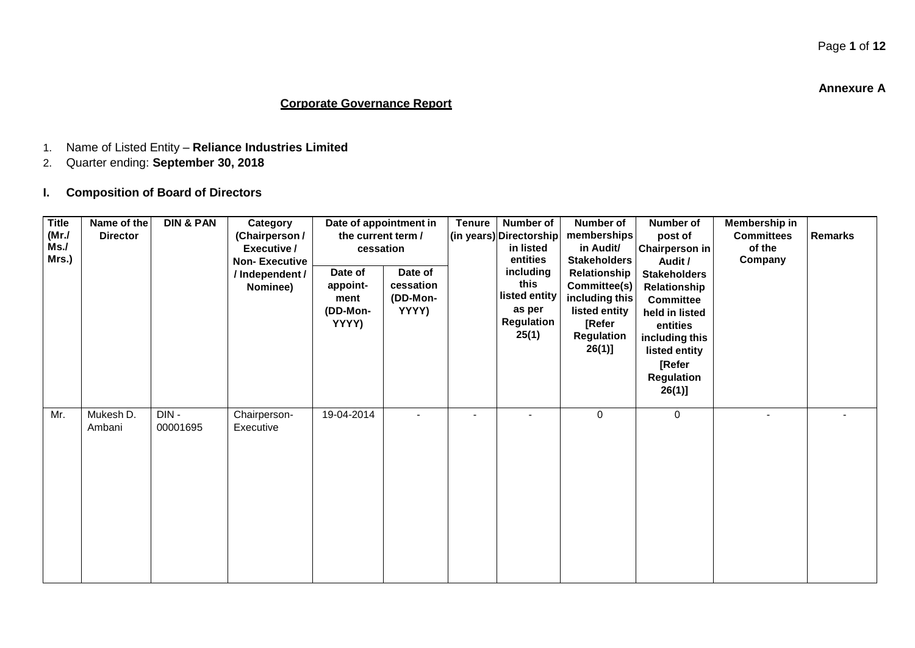**Annexure A**

### **Corporate Governance Report**

- 1. Name of Listed Entity **Reliance Industries Limited**
- 2. Quarter ending: **September 30, 2018**
- **I. Composition of Board of Directors**

| <b>Title</b><br>(MrJ)<br>Ms.<br>Mrs.) | Name of the<br><b>Director</b> | <b>DIN &amp; PAN</b> | Category<br>(Chairperson /<br>Executive /<br><b>Non-Executive</b><br>/ Independent /<br>Nominee) | Date of appointment in<br>the current term /<br>cessation<br>Date of<br>appoint-<br>ment<br>(DD-Mon-<br>YYYY) | Date of<br>cessation<br>(DD-Mon-<br>YYYY) | <b>Tenure</b> | Number of<br>(in years) Directorship<br>in listed<br>entities<br>including<br>this<br>listed entity<br>as per<br>Regulation<br>25(1) | Number of<br>memberships<br>in Audit/<br><b>Stakeholders</b><br>Relationship<br>Committee(s)<br>including this<br>listed entity<br>[Refer<br>Regulation<br>26(1)] | Number of<br>post of<br>Chairperson in<br>Audit /<br><b>Stakeholders</b><br>Relationship<br><b>Committee</b><br>held in listed<br>entities<br>including this<br>listed entity<br>[Refer<br><b>Regulation</b><br>26(1)] | Membership in<br><b>Committees</b><br>of the<br>Company | <b>Remarks</b> |
|---------------------------------------|--------------------------------|----------------------|--------------------------------------------------------------------------------------------------|---------------------------------------------------------------------------------------------------------------|-------------------------------------------|---------------|--------------------------------------------------------------------------------------------------------------------------------------|-------------------------------------------------------------------------------------------------------------------------------------------------------------------|------------------------------------------------------------------------------------------------------------------------------------------------------------------------------------------------------------------------|---------------------------------------------------------|----------------|
| Mr.                                   | Mukesh D.<br>Ambani            | DIN-<br>00001695     | Chairperson-<br>Executive                                                                        | 19-04-2014                                                                                                    |                                           |               |                                                                                                                                      | $\mathbf 0$                                                                                                                                                       | 0                                                                                                                                                                                                                      | $\blacksquare$                                          |                |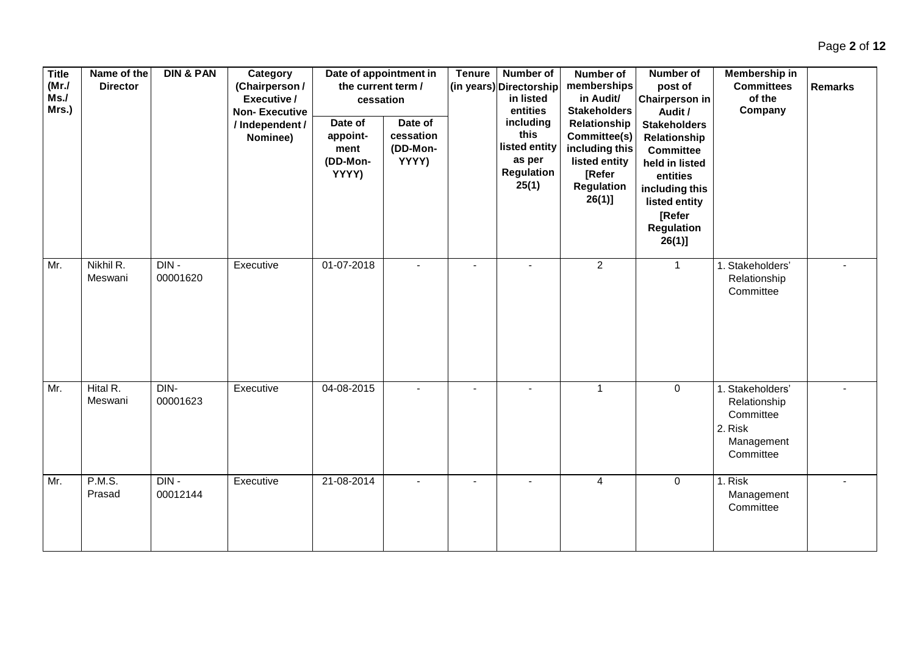| <b>Title</b><br>(MrJ)<br>Ms.<br>Mrs.) | Name of the<br><b>Director</b> | <b>DIN &amp; PAN</b> | Category<br>(Chairperson /<br>Executive /<br><b>Non-Executive</b><br>/ Independent /<br>Nominee) | Date of appointment in<br>the current term /<br>cessation<br>Date of<br>appoint-<br>ment<br>(DD-Mon-<br>YYYY) | Date of<br>cessation<br>(DD-Mon-<br>YYYY) | <b>Tenure</b> | Number of<br>(in years) Directorship<br>in listed<br>entities<br>including<br>this<br>listed entity<br>as per<br>Regulation<br>25(1) | Number of<br>memberships<br>in Audit/<br><b>Stakeholders</b><br>Relationship<br>Committee(s)<br>including this<br>listed entity<br>[Refer<br><b>Regulation</b><br>$26(1)$ ] | <b>Number of</b><br>post of<br><b>Chairperson in</b><br>Audit /<br><b>Stakeholders</b><br>Relationship<br><b>Committee</b><br>held in listed<br>entities<br>including this<br>listed entity<br>[Refer<br><b>Regulation</b><br>$26(1)$ ] | Membership in<br><b>Committees</b><br>of the<br>Company                             | <b>Remarks</b> |
|---------------------------------------|--------------------------------|----------------------|--------------------------------------------------------------------------------------------------|---------------------------------------------------------------------------------------------------------------|-------------------------------------------|---------------|--------------------------------------------------------------------------------------------------------------------------------------|-----------------------------------------------------------------------------------------------------------------------------------------------------------------------------|-----------------------------------------------------------------------------------------------------------------------------------------------------------------------------------------------------------------------------------------|-------------------------------------------------------------------------------------|----------------|
| Mr.                                   | Nikhil R.<br>Meswani           | $DIN -$<br>00001620  | Executive                                                                                        | 01-07-2018                                                                                                    |                                           |               |                                                                                                                                      | 2                                                                                                                                                                           | $\mathbf{1}$                                                                                                                                                                                                                            | 1. Stakeholders'<br>Relationship<br>Committee                                       |                |
| Mr.                                   | Hital R.<br>Meswani            | DIN-<br>00001623     | Executive                                                                                        | 04-08-2015                                                                                                    |                                           |               |                                                                                                                                      | $\mathbf{1}$                                                                                                                                                                | $\mathbf 0$                                                                                                                                                                                                                             | 1. Stakeholders'<br>Relationship<br>Committee<br>2. Risk<br>Management<br>Committee |                |
| Mr.                                   | <b>P.M.S.</b><br>Prasad        | $DIN -$<br>00012144  | Executive                                                                                        | 21-08-2014                                                                                                    | $\blacksquare$                            |               |                                                                                                                                      | $\overline{4}$                                                                                                                                                              | $\mathbf 0$                                                                                                                                                                                                                             | 1. Risk<br>Management<br>Committee                                                  |                |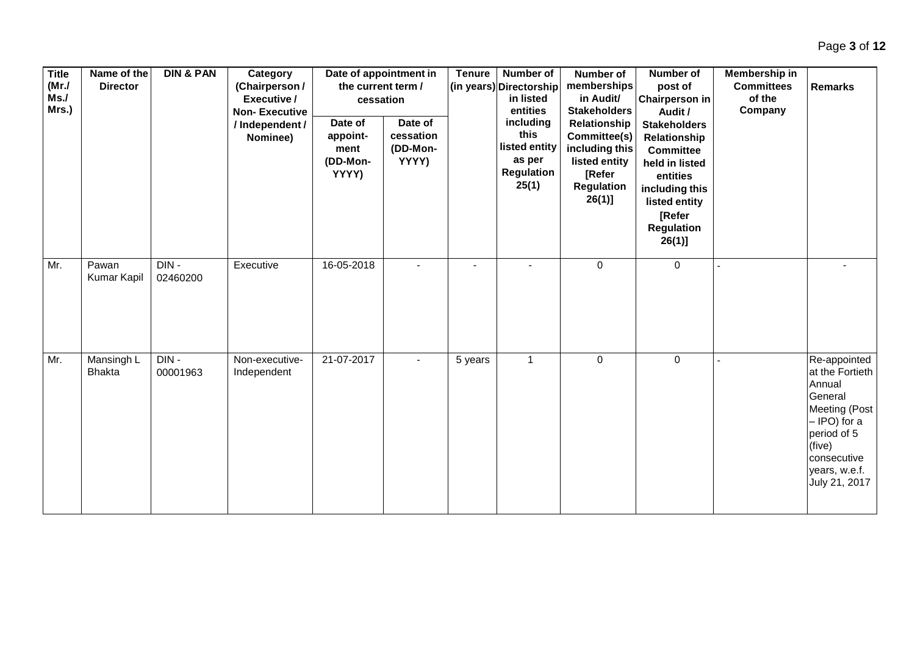| <b>Title</b><br>(MrJ)<br>Ms.<br>Mrs.) | Name of the<br><b>Director</b> | <b>DIN &amp; PAN</b> | Category<br>(Chairperson /<br>Executive /<br><b>Non-Executive</b><br>/ Independent /<br>Nominee) | the current term /<br>cessation<br>Date of<br>appoint-<br>ment<br>(DD-Mon-<br>YYYY) | Date of appointment in<br>Date of<br>cessation<br>(DD-Mon-<br>YYYY) | <b>Tenure</b> | Number of<br>(in years) Directorship<br>in listed<br>entities<br>including<br>this<br>listed entity<br>as per<br>Regulation<br>25(1) | Number of<br>memberships<br>in Audit/<br><b>Stakeholders</b><br>Relationship<br>Committee(s)<br>including this<br>listed entity<br>[Refer<br>Regulation<br>$26(1)$ ] | Number of<br>post of<br><b>Chairperson in</b><br>Audit /<br><b>Stakeholders</b><br>Relationship<br><b>Committee</b><br>held in listed<br>entities<br>including this<br>listed entity<br><b>[Refer</b><br><b>Regulation</b><br>$26(1)$ ] | Membership in<br><b>Committees</b><br>of the<br>Company | <b>Remarks</b>                                                                                                                                                  |
|---------------------------------------|--------------------------------|----------------------|--------------------------------------------------------------------------------------------------|-------------------------------------------------------------------------------------|---------------------------------------------------------------------|---------------|--------------------------------------------------------------------------------------------------------------------------------------|----------------------------------------------------------------------------------------------------------------------------------------------------------------------|-----------------------------------------------------------------------------------------------------------------------------------------------------------------------------------------------------------------------------------------|---------------------------------------------------------|-----------------------------------------------------------------------------------------------------------------------------------------------------------------|
| Mr.                                   | Pawan<br><b>Kumar Kapil</b>    | $DIN -$<br>02460200  | Executive                                                                                        | 16-05-2018                                                                          |                                                                     |               |                                                                                                                                      | $\mathbf 0$                                                                                                                                                          | 0                                                                                                                                                                                                                                       |                                                         |                                                                                                                                                                 |
| Mr.                                   | Mansingh L<br><b>Bhakta</b>    | $DIN -$<br>00001963  | Non-executive-<br>Independent                                                                    | 21-07-2017                                                                          |                                                                     | 5 years       | $\mathbf{1}$                                                                                                                         | $\mathbf 0$                                                                                                                                                          | $\pmb{0}$                                                                                                                                                                                                                               |                                                         | Re-appointed<br>at the Fortieth<br>Annual<br>General<br>Meeting (Post<br>- IPO) for a<br>period of 5<br>(five)<br>consecutive<br>years, w.e.f.<br>July 21, 2017 |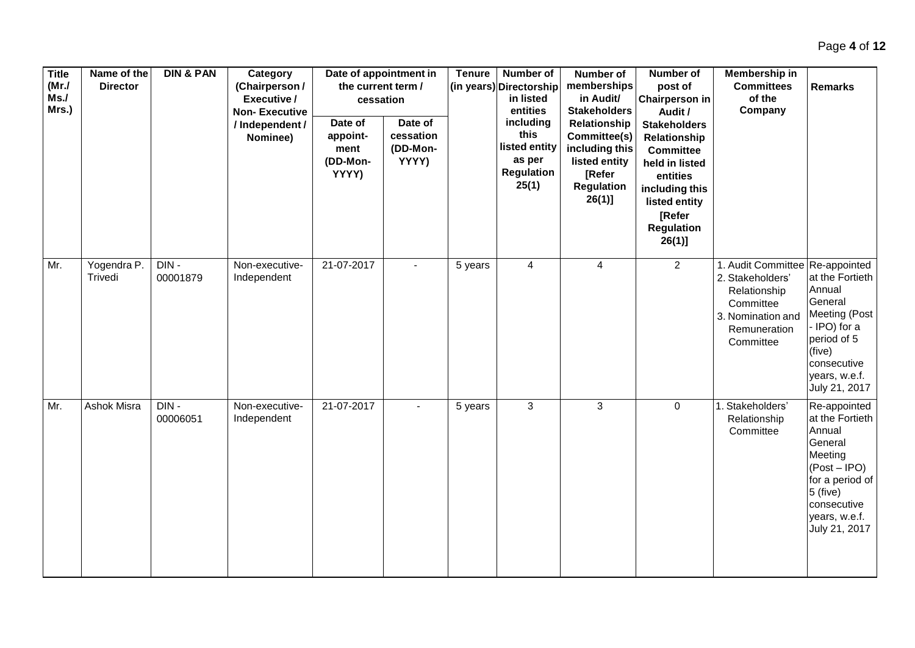| <b>Title</b><br>(MrJ)<br>Ms.<br>Mrs.) | Name of the<br><b>Director</b> | <b>DIN &amp; PAN</b> | Category<br>(Chairperson /<br>Executive /<br><b>Non-Executive</b><br>/ Independent /<br>Nominee) | the current term /<br>Date of<br>appoint-<br>ment<br>(DD-Mon-<br>YYYY) | Date of appointment in<br>cessation<br>Date of<br>cessation<br>(DD-Mon-<br>YYYY) | <b>Tenure</b> | Number of<br>(in years) Directorship<br>in listed<br>entities<br>including<br>this<br>listed entity<br>as per<br><b>Regulation</b><br>25(1) | Number of<br>memberships<br>in Audit/<br><b>Stakeholders</b><br>Relationship<br>Committee(s)<br>including this<br>listed entity<br>[Refer<br><b>Regulation</b><br>$26(1)$ ] | Number of<br>post of<br><b>Chairperson in</b><br>Audit /<br><b>Stakeholders</b><br>Relationship<br><b>Committee</b><br>held in listed<br>entities<br>including this<br>listed entity<br>[Refer<br><b>Regulation</b><br>$26(1)$ ] | Membership in<br><b>Committees</b><br>of the<br>Company                                                                              | <b>Remarks</b>                                                                                                                                                      |
|---------------------------------------|--------------------------------|----------------------|--------------------------------------------------------------------------------------------------|------------------------------------------------------------------------|----------------------------------------------------------------------------------|---------------|---------------------------------------------------------------------------------------------------------------------------------------------|-----------------------------------------------------------------------------------------------------------------------------------------------------------------------------|----------------------------------------------------------------------------------------------------------------------------------------------------------------------------------------------------------------------------------|--------------------------------------------------------------------------------------------------------------------------------------|---------------------------------------------------------------------------------------------------------------------------------------------------------------------|
| Mr.                                   | Yogendra P.<br>Trivedi         | DIN-<br>00001879     | Non-executive-<br>Independent                                                                    | 21-07-2017                                                             |                                                                                  | 5 years       | $\overline{4}$                                                                                                                              | 4                                                                                                                                                                           | $\overline{2}$                                                                                                                                                                                                                   | 1. Audit Committee   Re-appointed<br>2. Stakeholders'<br>Relationship<br>Committee<br>3. Nomination and<br>Remuneration<br>Committee | at the Fortieth<br>Annual<br>General<br><b>Meeting (Post</b><br>- IPO) for a<br>period of 5<br>(five)<br>consecutive<br>years, w.e.f.<br>July 21, 2017              |
| Mr.                                   | Ashok Misra                    | DIN-<br>00006051     | Non-executive-<br>Independent                                                                    | 21-07-2017                                                             |                                                                                  | 5 years       | 3                                                                                                                                           | $\mathbf{3}$                                                                                                                                                                | $\pmb{0}$                                                                                                                                                                                                                        | 1. Stakeholders'<br>Relationship<br>Committee                                                                                        | Re-appointed<br>at the Fortieth<br>Annual<br>General<br>Meeting<br>$(Post - IPO)$<br>for a period of<br>$5$ (five)<br>consecutive<br>years, w.e.f.<br>July 21, 2017 |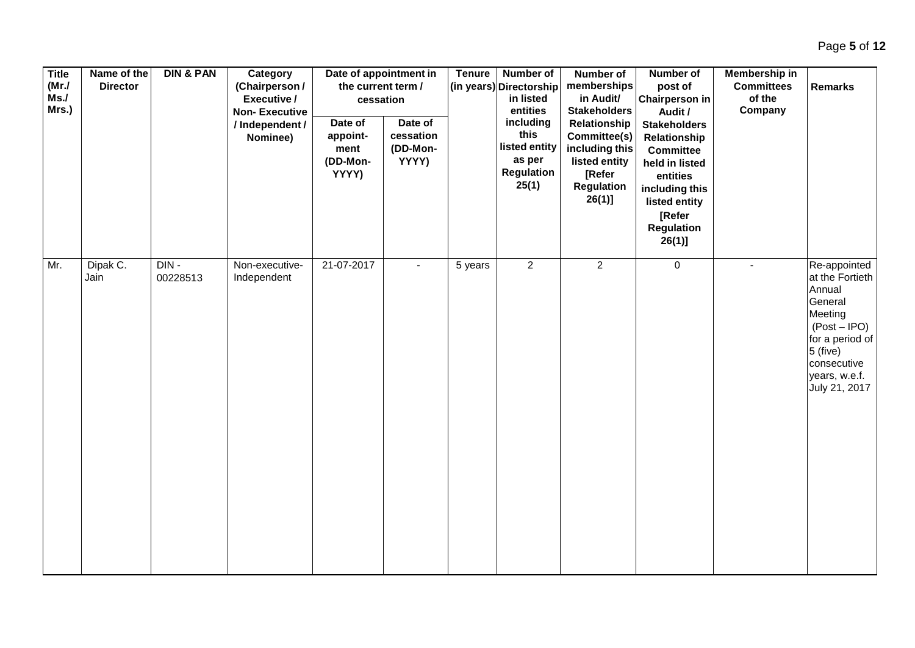|     | <b>Title</b><br>Name of the<br>(MrJ)<br><b>Director</b><br>Ms.<br>Mrs.) |                  |                     | <b>DIN &amp; PAN</b><br>Category<br>(Chairperson /<br>Executive /<br><b>Non-Executive</b><br>/ Independent /<br>Nominee) | Date of appointment in<br>the current term /<br>cessation<br>Date of<br>Date of |                                | <b>Tenure</b><br>Number of<br>(in years) Directorship<br>in listed<br>entities<br>including |                                                        | Number of<br>memberships<br>in Audit/<br><b>Stakeholders</b><br>Relationship                | Number of<br>post of<br><b>Chairperson in</b><br>Audit /<br><b>Stakeholders</b>                                                               | Membership in<br><b>Committees</b><br>of the<br>Company | <b>Remarks</b>                                                                                                                                      |
|-----|-------------------------------------------------------------------------|------------------|---------------------|--------------------------------------------------------------------------------------------------------------------------|---------------------------------------------------------------------------------|--------------------------------|---------------------------------------------------------------------------------------------|--------------------------------------------------------|---------------------------------------------------------------------------------------------|-----------------------------------------------------------------------------------------------------------------------------------------------|---------------------------------------------------------|-----------------------------------------------------------------------------------------------------------------------------------------------------|
| Mr. |                                                                         |                  |                     |                                                                                                                          | appoint-<br>ment<br>(DD-Mon-<br>YYYY)                                           | cessation<br>(DD-Mon-<br>YYYY) |                                                                                             | this<br>listed entity<br>as per<br>Regulation<br>25(1) | Committee(s)<br>including this<br>listed entity<br>[Refer<br><b>Regulation</b><br>$26(1)$ ] | Relationship<br><b>Committee</b><br>held in listed<br>entities<br>including this<br>listed entity<br>[Refer<br><b>Regulation</b><br>$26(1)$ ] |                                                         | Re-appointed                                                                                                                                        |
|     |                                                                         | Dipak C.<br>Jain | $DIN -$<br>00228513 | Non-executive-<br>Independent                                                                                            | 21-07-2017                                                                      |                                | 5 years                                                                                     | $\overline{2}$                                         | $\overline{2}$                                                                              | $\mathbf 0$                                                                                                                                   |                                                         | at the Fortieth<br>Annual<br>General<br>Meeting<br>$(Post - IPO)$<br>for a period of<br>$5$ (five)<br>consecutive<br>years, w.e.f.<br>July 21, 2017 |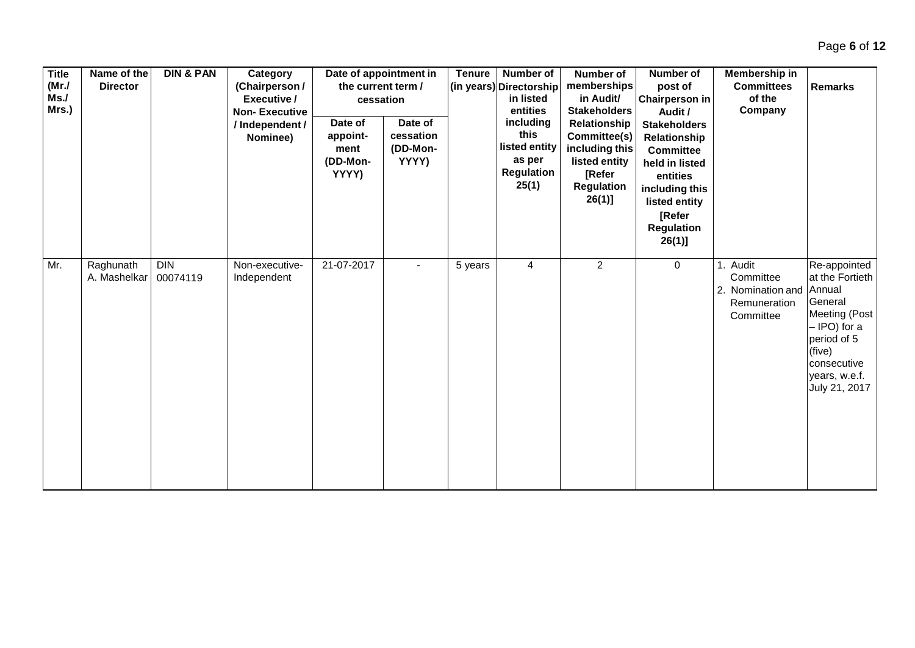| <b>Title</b><br>(Mr./<br>Ms.<br>Mrs.) | Name of the<br><b>Director</b> | <b>DIN &amp; PAN</b>   | Category<br>(Chairperson /<br>Executive /<br><b>Non-Executive</b><br>/ Independent /<br>Nominee) | Date of appointment in<br>the current term /<br>cessation<br>Date of<br>appoint-<br>ment<br>(DD-Mon-<br>YYYY) | Date of<br>cessation<br>(DD-Mon-<br>YYYY) | <b>Tenure</b> | Number of<br>(in years) Directorship<br>in listed<br>entities<br>including<br>this<br>listed entity<br>as per<br><b>Regulation</b><br>25(1) | Number of<br>memberships<br>in Audit/<br><b>Stakeholders</b><br>Relationship<br>Committee(s)<br>including this<br>listed entity<br>[Refer<br><b>Regulation</b><br>$26(1)$ ] | Number of<br>post of<br><b>Chairperson in</b><br>Audit /<br><b>Stakeholders</b><br>Relationship<br><b>Committee</b><br>held in listed<br>entities<br>including this<br>listed entity<br>[Refer<br><b>Regulation</b><br>$26(1)$ ] | Membership in<br><b>Committees</b><br>of the<br>Company                        | <b>Remarks</b>                                                                                                                                        |
|---------------------------------------|--------------------------------|------------------------|--------------------------------------------------------------------------------------------------|---------------------------------------------------------------------------------------------------------------|-------------------------------------------|---------------|---------------------------------------------------------------------------------------------------------------------------------------------|-----------------------------------------------------------------------------------------------------------------------------------------------------------------------------|----------------------------------------------------------------------------------------------------------------------------------------------------------------------------------------------------------------------------------|--------------------------------------------------------------------------------|-------------------------------------------------------------------------------------------------------------------------------------------------------|
| Mr.                                   | Raghunath<br>A. Mashelkar      | <b>DIN</b><br>00074119 | Non-executive-<br>Independent                                                                    | 21-07-2017                                                                                                    |                                           | 5 years       | 4                                                                                                                                           | $\overline{2}$                                                                                                                                                              | 0                                                                                                                                                                                                                                | 1. Audit<br>Committee<br>2. Nomination and Annual<br>Remuneration<br>Committee | Re-appointed<br>at the Fortieth<br>General<br>Meeting (Post<br>- IPO) for a<br>period of 5<br>(five)<br>consecutive<br>years, w.e.f.<br>July 21, 2017 |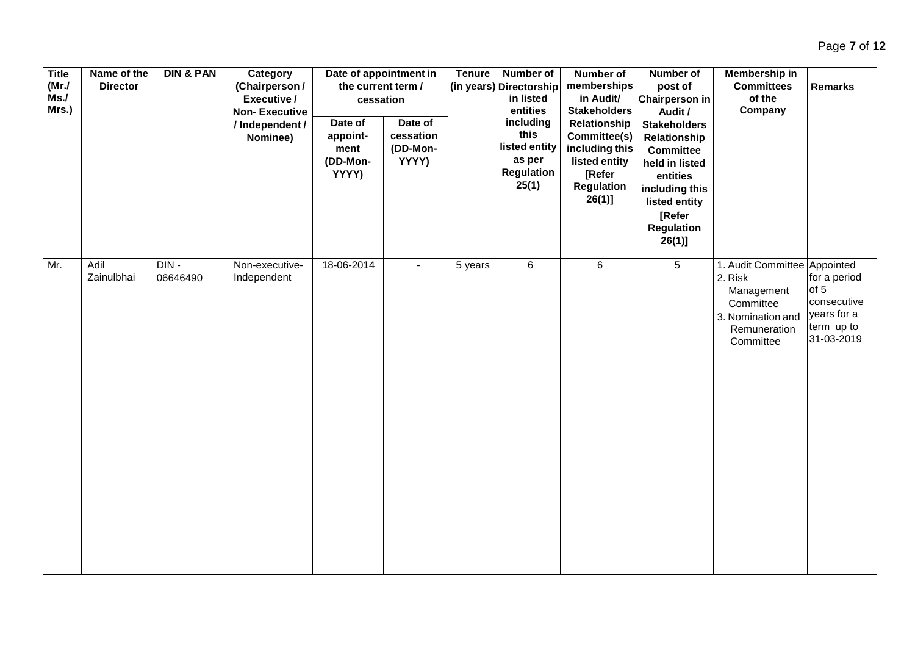| <b>Title</b><br>(MrJ)<br>Ms.<br>Mrs.) | Name of the<br><b>Director</b> | <b>DIN &amp; PAN</b> | Category<br>(Chairperson /<br>Executive /<br><b>Non-Executive</b><br>/ Independent /<br>Nominee) | Date of appointment in<br>the current term /<br>cessation<br>Date of<br>appoint-<br>ment<br>(DD-Mon-<br>YYYY) | Date of<br>cessation<br>(DD-Mon-<br>YYYY) | <b>Tenure</b> | Number of<br>(in years) Directorship<br>in listed<br>entities<br>including<br>this<br>listed entity<br>as per<br><b>Regulation</b><br>25(1) | Number of<br>memberships<br>in Audit/<br><b>Stakeholders</b><br>Relationship<br>Committee(s)<br>including this<br>listed entity<br>[Refer<br><b>Regulation</b><br>$26(1)$ ] | Number of<br>post of<br><b>Chairperson in</b><br>Audit /<br><b>Stakeholders</b><br>Relationship<br><b>Committee</b><br>held in listed<br>entities<br>including this<br>listed entity<br>[Refer<br><b>Regulation</b><br>$26(1)$ ] | <b>Membership in</b><br><b>Committees</b><br>of the<br>Company                                                       | <b>Remarks</b>                                                                 |
|---------------------------------------|--------------------------------|----------------------|--------------------------------------------------------------------------------------------------|---------------------------------------------------------------------------------------------------------------|-------------------------------------------|---------------|---------------------------------------------------------------------------------------------------------------------------------------------|-----------------------------------------------------------------------------------------------------------------------------------------------------------------------------|----------------------------------------------------------------------------------------------------------------------------------------------------------------------------------------------------------------------------------|----------------------------------------------------------------------------------------------------------------------|--------------------------------------------------------------------------------|
| Mr.                                   | Adil<br>Zainulbhai             | $DIN -$<br>06646490  | Non-executive-<br>Independent                                                                    | 18-06-2014                                                                                                    |                                           | 5 years       | $6\phantom{a}$                                                                                                                              | $\,6\,$                                                                                                                                                                     | $5\overline{)}$                                                                                                                                                                                                                  | 1. Audit Committee Appointed<br>2. Risk<br>Management<br>Committee<br>3. Nomination and<br>Remuneration<br>Committee | for a period<br>of 5<br>consecutive<br>years for a<br>term up to<br>31-03-2019 |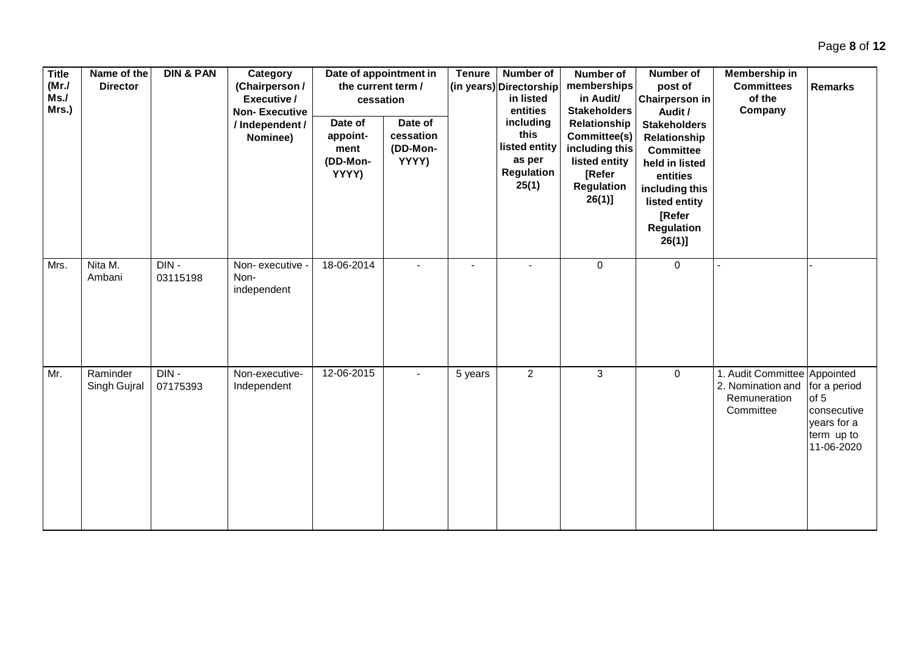| <b>Title</b><br>(MrJ)<br>Ms.<br>Mrs.) | Name of the<br><b>Director</b> | <b>DIN &amp; PAN</b> | Category<br>(Chairperson /<br>Executive /<br><b>Non-Executive</b><br>/ Independent /<br>Nominee) | Date of appointment in<br>the current term /<br>cessation<br>Date of<br>appoint-<br>ment<br>(DD-Mon-<br>YYYY) | Date of<br>cessation<br>(DD-Mon-<br>YYYY) | <b>Tenure</b>            | <b>Number of</b><br>(in years) Directorship<br>in listed<br>entities<br>including<br>this<br>listed entity<br>as per<br>Regulation<br>25(1) | Number of<br>memberships<br>in Audit/<br><b>Stakeholders</b><br>Relationship<br>Committee(s)<br>including this<br>listed entity<br>[Refer<br><b>Regulation</b><br>$26(1)$ ] | Number of<br>post of<br><b>Chairperson in</b><br>Audit /<br><b>Stakeholders</b><br>Relationship<br><b>Committee</b><br>held in listed<br>entities<br>including this<br>listed entity<br>[Refer<br><b>Regulation</b><br>$26(1)$ ] | Membership in<br><b>Committees</b><br>of the<br>Company                        | <b>Remarks</b>                                                                 |
|---------------------------------------|--------------------------------|----------------------|--------------------------------------------------------------------------------------------------|---------------------------------------------------------------------------------------------------------------|-------------------------------------------|--------------------------|---------------------------------------------------------------------------------------------------------------------------------------------|-----------------------------------------------------------------------------------------------------------------------------------------------------------------------------|----------------------------------------------------------------------------------------------------------------------------------------------------------------------------------------------------------------------------------|--------------------------------------------------------------------------------|--------------------------------------------------------------------------------|
| Mrs.                                  | Nita M.<br>Ambani              | DIN-<br>03115198     | Non-executive<br>Non-<br>independent                                                             | 18-06-2014                                                                                                    |                                           | $\overline{\phantom{a}}$ |                                                                                                                                             | $\pmb{0}$                                                                                                                                                                   | $\mathbf 0$                                                                                                                                                                                                                      |                                                                                |                                                                                |
| Mr.                                   | Raminder<br>Singh Gujral       | DIN-<br>07175393     | Non-executive-<br>Independent                                                                    | 12-06-2015                                                                                                    |                                           | 5 years                  | $\overline{2}$                                                                                                                              | $\mathbf{3}$                                                                                                                                                                | $\mathbf 0$                                                                                                                                                                                                                      | 1. Audit Committee Appointed<br>2. Nomination and<br>Remuneration<br>Committee | for a period<br>of 5<br>consecutive<br>years for a<br>term up to<br>11-06-2020 |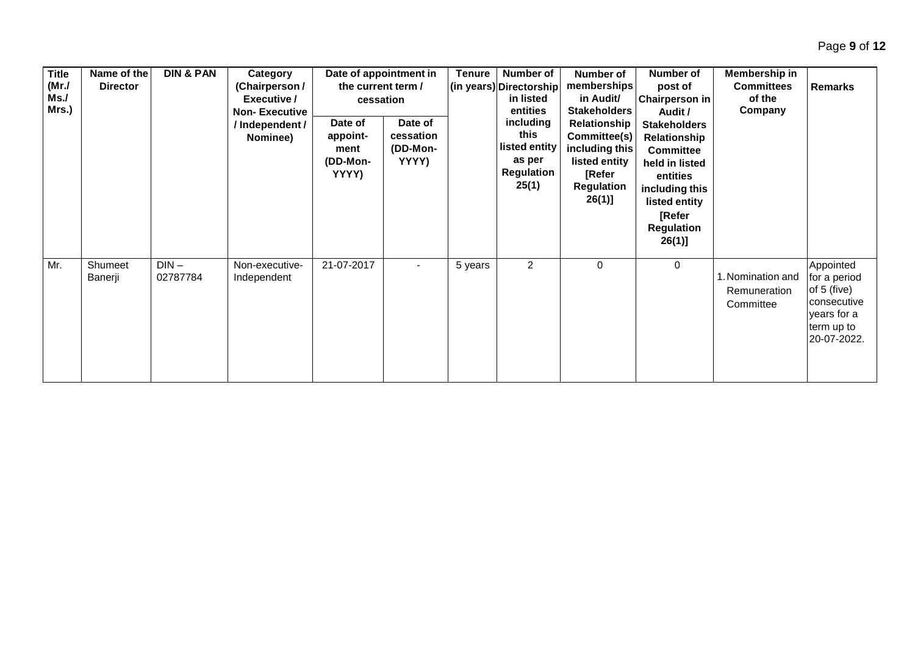| <b>Title</b><br>(MrJ)<br>Ms.<br>Mrs.) | Name of the<br><b>Director</b> | <b>DIN &amp; PAN</b> | Category<br>(Chairperson /<br>Executive /<br><b>Non-Executive</b><br>/ Independent /<br>Nominee) | the current term /<br>cessation<br>Date of<br>appoint-<br>ment<br>(DD-Mon-<br>YYYY) | Date of appointment in<br>Date of<br>cessation<br>(DD-Mon-<br>YYYY) | <b>Tenure</b> | Number of<br>(in years) Directorship<br>in listed<br>entities<br>including<br>this<br>listed entity<br>as per<br>Regulation<br>25(1) | Number of<br>memberships<br>in Audit/<br><b>Stakeholders</b><br>Relationship<br>Committee(s)<br>including this<br>listed entity<br>[Refer<br><b>Regulation</b><br>$26(1)$ ] | <b>Number of</b><br>post of<br><b>Chairperson in</b><br>Audit /<br><b>Stakeholders</b><br>Relationship<br><b>Committee</b><br>held in listed<br>entities<br>including this<br>listed entity<br>[Refer<br><b>Regulation</b><br>$26(1)$ ] | Membership in<br><b>Committees</b><br>of the<br>Company | <b>Remarks</b>                                                                                      |
|---------------------------------------|--------------------------------|----------------------|--------------------------------------------------------------------------------------------------|-------------------------------------------------------------------------------------|---------------------------------------------------------------------|---------------|--------------------------------------------------------------------------------------------------------------------------------------|-----------------------------------------------------------------------------------------------------------------------------------------------------------------------------|-----------------------------------------------------------------------------------------------------------------------------------------------------------------------------------------------------------------------------------------|---------------------------------------------------------|-----------------------------------------------------------------------------------------------------|
| Mr.                                   | Shumeet<br>Banerji             | $DIN -$<br>02787784  | Non-executive-<br>Independent                                                                    | 21-07-2017                                                                          |                                                                     | 5 years       | $\overline{2}$                                                                                                                       | 0                                                                                                                                                                           | 0                                                                                                                                                                                                                                       | 1. Nomination and<br>Remuneration<br>Committee          | Appointed<br>for a period<br>of 5 (five)<br>consecutive<br>years for a<br>term up to<br>20-07-2022. |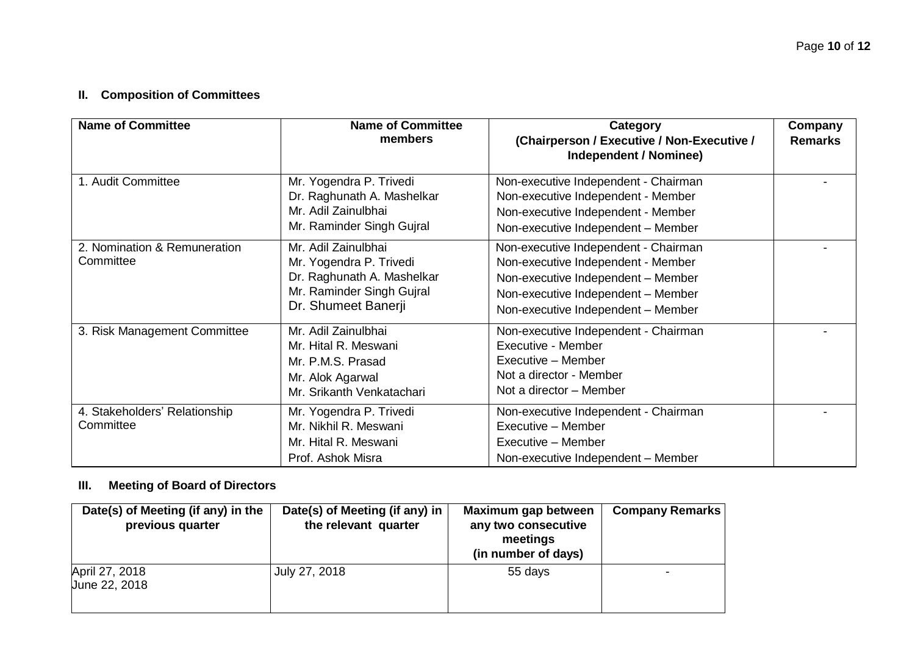# **II. Composition of Committees**

| <b>Name of Committee</b>                   | <b>Name of Committee</b><br>members                                                                                              | Category<br>(Chairperson / Executive / Non-Executive /<br>Independent / Nominee)                                                                                                             | Company<br><b>Remarks</b> |
|--------------------------------------------|----------------------------------------------------------------------------------------------------------------------------------|----------------------------------------------------------------------------------------------------------------------------------------------------------------------------------------------|---------------------------|
| 1. Audit Committee                         | Mr. Yogendra P. Trivedi<br>Dr. Raghunath A. Mashelkar<br>Mr. Adil Zainulbhai<br>Mr. Raminder Singh Gujral                        | Non-executive Independent - Chairman<br>Non-executive Independent - Member<br>Non-executive Independent - Member<br>Non-executive Independent - Member                                       |                           |
| 2. Nomination & Remuneration<br>Committee  | Mr. Adil Zainulbhai<br>Mr. Yogendra P. Trivedi<br>Dr. Raghunath A. Mashelkar<br>Mr. Raminder Singh Gujral<br>Dr. Shumeet Banerji | Non-executive Independent - Chairman<br>Non-executive Independent - Member<br>Non-executive Independent - Member<br>Non-executive Independent - Member<br>Non-executive Independent - Member |                           |
| 3. Risk Management Committee               | Mr. Adil Zainulbhai<br>Mr. Hital R. Meswani<br>Mr. P.M.S. Prasad<br>Mr. Alok Agarwal<br>Mr. Srikanth Venkatachari                | Non-executive Independent - Chairman<br>Executive - Member<br>Executive - Member<br>Not a director - Member<br>Not a director - Member                                                       |                           |
| 4. Stakeholders' Relationship<br>Committee | Mr. Yogendra P. Trivedi<br>Mr. Nikhil R. Meswani<br>Mr. Hital R. Meswani<br>Prof. Ashok Misra                                    | Non-executive Independent - Chairman<br>Executive - Member<br>Executive - Member<br>Non-executive Independent - Member                                                                       |                           |

### **III. Meeting of Board of Directors**

| Date(s) of Meeting (if any) in the<br>previous quarter | Date(s) of Meeting (if any) in<br>the relevant quarter | Maximum gap between<br>any two consecutive<br>meetings<br>(in number of days) | <b>Company Remarks</b> |
|--------------------------------------------------------|--------------------------------------------------------|-------------------------------------------------------------------------------|------------------------|
| April 27, 2018<br>June 22, 2018                        | July 27, 2018                                          | 55 days                                                                       |                        |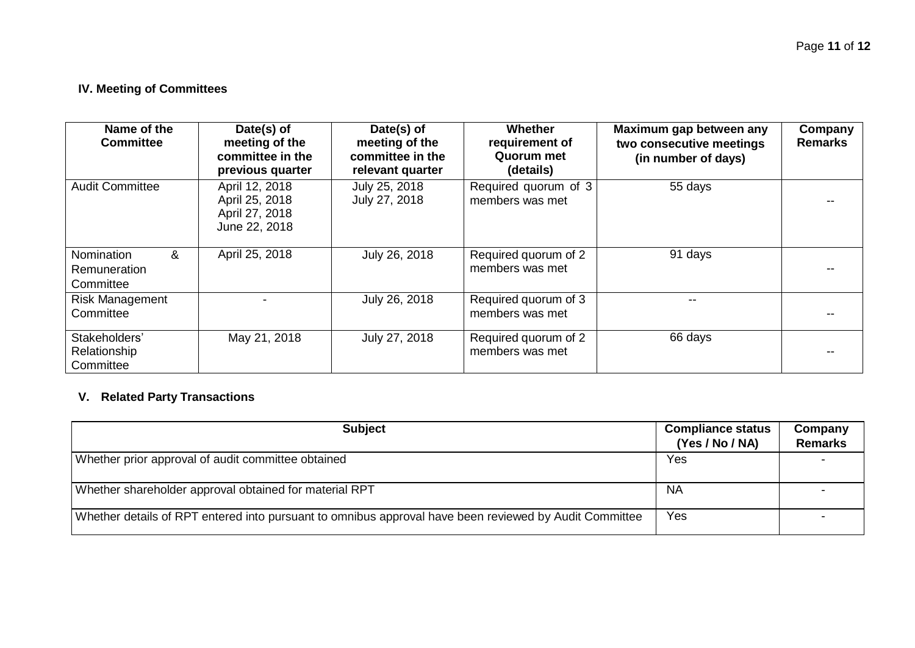### **IV. Meeting of Committees**

| Name of the<br><b>Committee</b>                     | Date(s) of<br>meeting of the<br>committee in the<br>previous quarter | Date(s) of<br>meeting of the<br>committee in the<br>relevant quarter | <b>Whether</b><br>requirement of<br>Quorum met<br>(details) | Maximum gap between any<br>two consecutive meetings<br>(in number of days) | Company<br><b>Remarks</b> |
|-----------------------------------------------------|----------------------------------------------------------------------|----------------------------------------------------------------------|-------------------------------------------------------------|----------------------------------------------------------------------------|---------------------------|
| <b>Audit Committee</b>                              | April 12, 2018<br>April 25, 2018<br>April 27, 2018<br>June 22, 2018  | July 25, 2018<br>July 27, 2018                                       | Required quorum of 3<br>members was met                     | 55 days                                                                    |                           |
| Nomination<br>&<br><b>Remuneration</b><br>Committee | April 25, 2018                                                       | July 26, 2018                                                        | Required quorum of 2<br>members was met                     | 91 days                                                                    |                           |
| <b>Risk Management</b><br>Committee                 |                                                                      | July 26, 2018                                                        | Required quorum of 3<br>members was met                     |                                                                            |                           |
| Stakeholders'<br>Relationship<br>Committee          | May 21, 2018                                                         | July 27, 2018                                                        | Required quorum of 2<br>members was met                     | 66 days                                                                    |                           |

# **V. Related Party Transactions**

| <b>Subject</b>                                                                                         | <b>Compliance status</b><br>(Yes / No / NA) | Company<br><b>Remarks</b> |
|--------------------------------------------------------------------------------------------------------|---------------------------------------------|---------------------------|
| Whether prior approval of audit committee obtained                                                     | Yes                                         |                           |
| Whether shareholder approval obtained for material RPT                                                 | <b>NA</b>                                   |                           |
| Whether details of RPT entered into pursuant to omnibus approval have been reviewed by Audit Committee | Yes                                         |                           |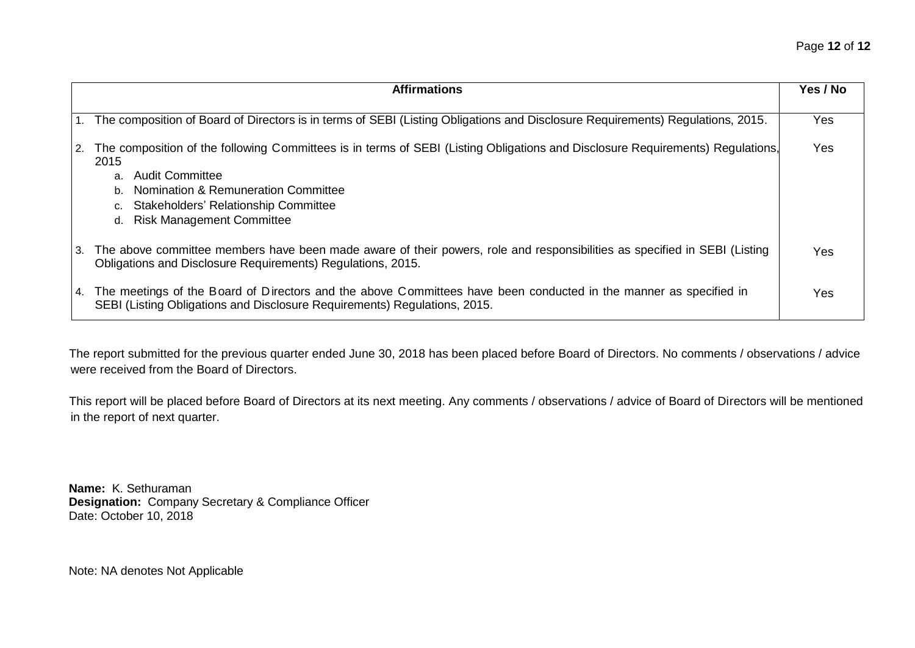| <b>Affirmations</b>                                                                                                                                                                                                                                                                                                       | Yes / No   |
|---------------------------------------------------------------------------------------------------------------------------------------------------------------------------------------------------------------------------------------------------------------------------------------------------------------------------|------------|
| 1. The composition of Board of Directors is in terms of SEBI (Listing Obligations and Disclosure Requirements) Regulations, 2015.                                                                                                                                                                                         | Yes        |
| 2. The composition of the following Committees is in terms of SEBI (Listing Obligations and Disclosure Requirements) Regulations,<br>2015<br>Audit Committee<br>a.<br><b>Nomination &amp; Remuneration Committee</b><br>b.<br><b>Stakeholders' Relationship Committee</b><br>c.<br><b>Risk Management Committee</b><br>d. | <b>Yes</b> |
| 3. The above committee members have been made aware of their powers, role and responsibilities as specified in SEBI (Listing<br>Obligations and Disclosure Requirements) Regulations, 2015.                                                                                                                               | Yes        |
| 4. The meetings of the Board of Directors and the above Committees have been conducted in the manner as specified in<br>SEBI (Listing Obligations and Disclosure Requirements) Regulations, 2015.                                                                                                                         | Yes        |

The report submitted for the previous quarter ended June 30, 2018 has been placed before Board of Directors. No comments / observations / advice were received from the Board of Directors.

This report will be placed before Board of Directors at its next meeting. Any comments / observations / advice of Board of Directors will be mentioned in the report of next quarter.

**Name:** K. Sethuraman **Designation:** Company Secretary & Compliance Officer Date: October 10, 2018

Note: NA denotes Not Applicable